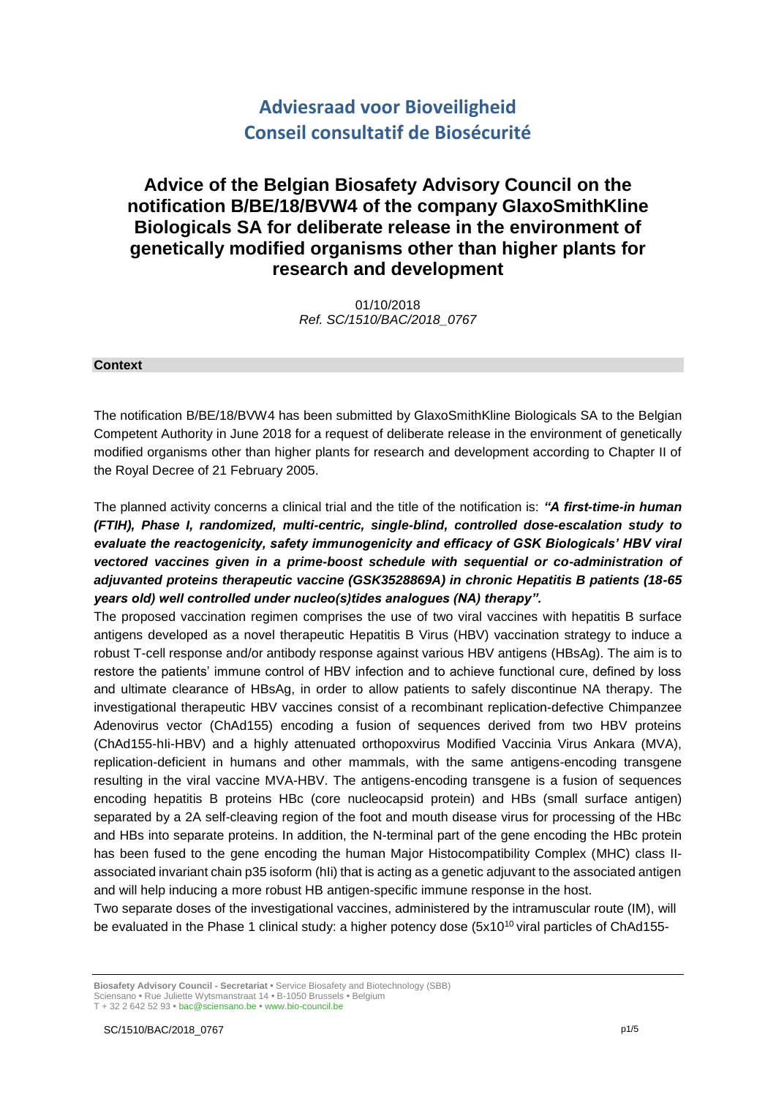# **Adviesraad voor Bioveiligheid Conseil consultatif de Biosécurité**

# **Advice of the Belgian Biosafety Advisory Council on the notification B/BE/18/BVW4 of the company GlaxoSmithKline Biologicals SA for deliberate release in the environment of genetically modified organisms other than higher plants for research and development**

01/10/2018 *Ref. SC/1510/BAC/2018\_0767*

#### **Context**

The notification B/BE/18/BVW4 has been submitted by GlaxoSmithKline Biologicals SA to the Belgian Competent Authority in June 2018 for a request of deliberate release in the environment of genetically modified organisms other than higher plants for research and development according to Chapter II of the Royal Decree of 21 February 2005.

The planned activity concerns a clinical trial and the title of the notification is: *"A first-time-in human (FTIH), Phase I, randomized, multi-centric, single-blind, controlled dose-escalation study to evaluate the reactogenicity, safety immunogenicity and efficacy of GSK Biologicals' HBV viral*  vectored vaccines given in a prime-boost schedule with sequential or co-administration of *adjuvanted proteins therapeutic vaccine (GSK3528869A) in chronic Hepatitis B patients (18-65 years old) well controlled under nucleo(s)tides analogues (NA) therapy".*

The proposed vaccination regimen comprises the use of two viral vaccines with hepatitis B surface antigens developed as a novel therapeutic Hepatitis B Virus (HBV) vaccination strategy to induce a robust T-cell response and/or antibody response against various HBV antigens (HBsAg). The aim is to restore the patients' immune control of HBV infection and to achieve functional cure, defined by loss and ultimate clearance of HBsAg, in order to allow patients to safely discontinue NA therapy. The investigational therapeutic HBV vaccines consist of a recombinant replication-defective Chimpanzee Adenovirus vector (ChAd155) encoding a fusion of sequences derived from two HBV proteins (ChAd155-hIi-HBV) and a highly attenuated orthopoxvirus Modified Vaccinia Virus Ankara (MVA), replication-deficient in humans and other mammals, with the same antigens-encoding transgene resulting in the viral vaccine MVA-HBV. The antigens-encoding transgene is a fusion of sequences encoding hepatitis B proteins HBc (core nucleocapsid protein) and HBs (small surface antigen) separated by a 2A self-cleaving region of the foot and mouth disease virus for processing of the HBc and HBs into separate proteins. In addition, the N-terminal part of the gene encoding the HBc protein has been fused to the gene encoding the human Major Histocompatibility Complex (MHC) class IIassociated invariant chain p35 isoform (hIi) that is acting as a genetic adjuvant to the associated antigen and will help inducing a more robust HB antigen-specific immune response in the host.

Two separate doses of the investigational vaccines, administered by the intramuscular route (IM), will be evaluated in the Phase 1 clinical study: a higher potency dose  $(5x10^{10})$  viral particles of ChAd155-

**Biosafety Advisory Council - Secretariat •** Service Biosafety and Biotechnology (SBB) Sciensano **•** Rue Juliette Wytsmanstraat 14 **•** B-1050 Brussels **•** Belgium

T + 32 2 642 52 93 **•** bac@sciensano.be **•** www.bio-council.be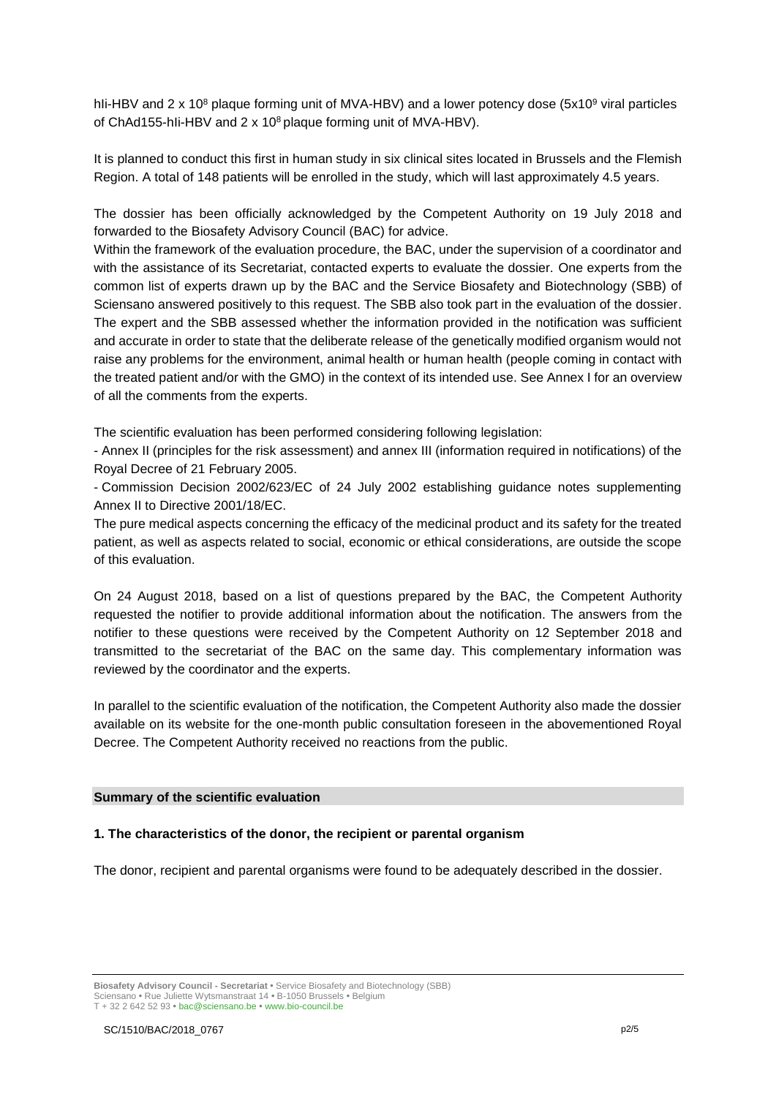hli-HBV and  $2 \times 10^8$  plaque forming unit of MVA-HBV) and a lower potency dose (5x10<sup>9</sup> viral particles of ChAd155-hli-HBV and 2 x 10<sup>8</sup> plaque forming unit of MVA-HBV).

It is planned to conduct this first in human study in six clinical sites located in Brussels and the Flemish Region. A total of 148 patients will be enrolled in the study, which will last approximately 4.5 years.

The dossier has been officially acknowledged by the Competent Authority on 19 July 2018 and forwarded to the Biosafety Advisory Council (BAC) for advice.

Within the framework of the evaluation procedure, the BAC, under the supervision of a coordinator and with the assistance of its Secretariat, contacted experts to evaluate the dossier. One experts from the common list of experts drawn up by the BAC and the Service Biosafety and Biotechnology (SBB) of Sciensano answered positively to this request. The SBB also took part in the evaluation of the dossier. The expert and the SBB assessed whether the information provided in the notification was sufficient and accurate in order to state that the deliberate release of the genetically modified organism would not raise any problems for the environment, animal health or human health (people coming in contact with the treated patient and/or with the GMO) in the context of its intended use. See Annex I for an overview of all the comments from the experts.

The scientific evaluation has been performed considering following legislation:

- Annex II (principles for the risk assessment) and annex III (information required in notifications) of the Royal Decree of 21 February 2005.

- Commission Decision 2002/623/EC of 24 July 2002 establishing guidance notes supplementing Annex II to Directive 2001/18/EC.

The pure medical aspects concerning the efficacy of the medicinal product and its safety for the treated patient, as well as aspects related to social, economic or ethical considerations, are outside the scope of this evaluation.

On 24 August 2018, based on a list of questions prepared by the BAC, the Competent Authority requested the notifier to provide additional information about the notification. The answers from the notifier to these questions were received by the Competent Authority on 12 September 2018 and transmitted to the secretariat of the BAC on the same day. This complementary information was reviewed by the coordinator and the experts.

In parallel to the scientific evaluation of the notification, the Competent Authority also made the dossier available on its website for the one-month public consultation foreseen in the abovementioned Royal Decree. The Competent Authority received no reactions from the public.

#### **Summary of the scientific evaluation**

### **1. The characteristics of the donor, the recipient or parental organism**

The donor, recipient and parental organisms were found to be adequately described in the dossier.

**Biosafety Advisory Council - Secretariat •** Service Biosafety and Biotechnology (SBB) Sciensano **•** Rue Juliette Wytsmanstraat 14 **•** B-1050 Brussels **•** Belgium T + 32 2 642 52 93 **•** bac@sciensano.be **•** www.bio-council.be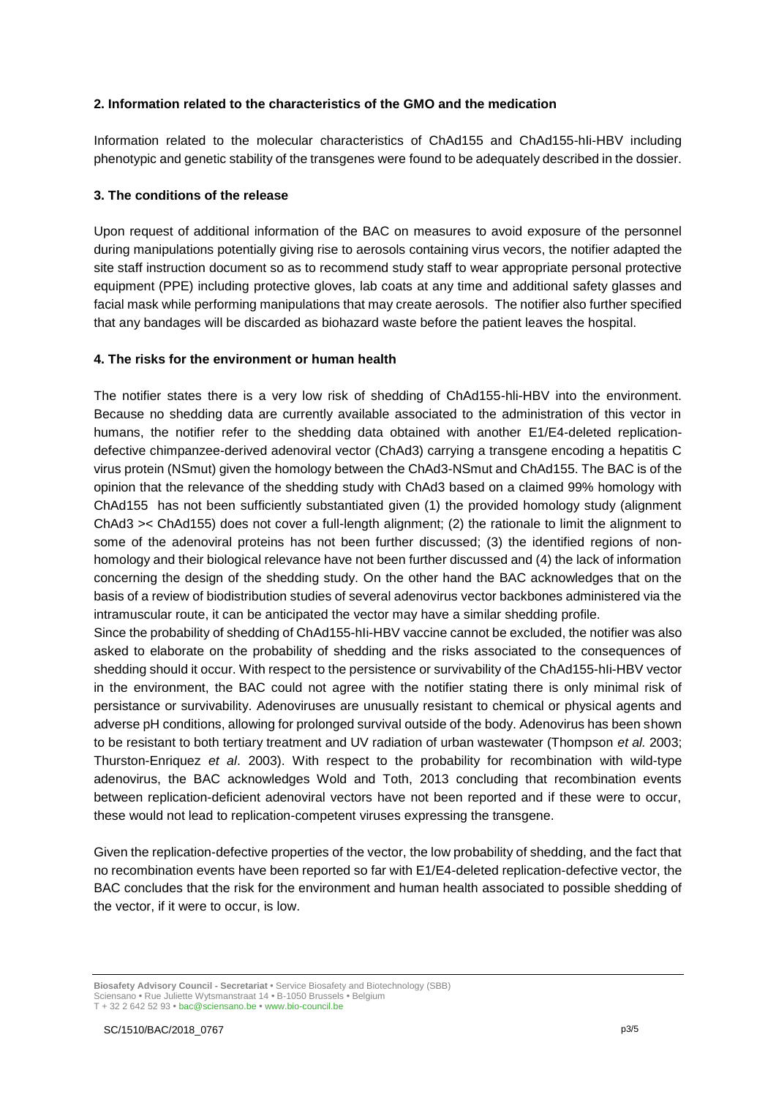### **2. Information related to the characteristics of the GMO and the medication**

Information related to the molecular characteristics of ChAd155 and ChAd155-hIi-HBV including phenotypic and genetic stability of the transgenes were found to be adequately described in the dossier.

### **3. The conditions of the release**

Upon request of additional information of the BAC on measures to avoid exposure of the personnel during manipulations potentially giving rise to aerosols containing virus vecors, the notifier adapted the site staff instruction document so as to recommend study staff to wear appropriate personal protective equipment (PPE) including protective gloves, lab coats at any time and additional safety glasses and facial mask while performing manipulations that may create aerosols. The notifier also further specified that any bandages will be discarded as biohazard waste before the patient leaves the hospital.

### **4. The risks for the environment or human health**

The notifier states there is a very low risk of shedding of ChAd155-hli-HBV into the environment. Because no shedding data are currently available associated to the administration of this vector in humans, the notifier refer to the shedding data obtained with another E1/E4-deleted replicationdefective chimpanzee-derived adenoviral vector (ChAd3) carrying a transgene encoding a hepatitis C virus protein (NSmut) given the homology between the ChAd3-NSmut and ChAd155. The BAC is of the opinion that the relevance of the shedding study with ChAd3 based on a claimed 99% homology with ChAd155 has not been sufficiently substantiated given (1) the provided homology study (alignment ChAd3 >< ChAd155) does not cover a full-length alignment; (2) the rationale to limit the alignment to some of the adenoviral proteins has not been further discussed; (3) the identified regions of nonhomology and their biological relevance have not been further discussed and (4) the lack of information concerning the design of the shedding study. On the other hand the BAC acknowledges that on the basis of a review of biodistribution studies of several adenovirus vector backbones administered via the intramuscular route, it can be anticipated the vector may have a similar shedding profile.

Since the probability of shedding of ChAd155-hIi-HBV vaccine cannot be excluded, the notifier was also asked to elaborate on the probability of shedding and the risks associated to the consequences of shedding should it occur. With respect to the persistence or survivability of the ChAd155-hIi-HBV vector in the environment, the BAC could not agree with the notifier stating there is only minimal risk of persistance or survivability. Adenoviruses are unusually resistant to chemical or physical agents and adverse pH conditions, allowing for prolonged survival outside of the body. Adenovirus has been shown to be resistant to both tertiary treatment and UV radiation of urban wastewater (Thompson *et al.* 2003; Thurston-Enriquez *et al*. 2003). With respect to the probability for recombination with wild-type adenovirus, the BAC acknowledges Wold and Toth, 2013 concluding that recombination events between replication-deficient adenoviral vectors have not been reported and if these were to occur, these would not lead to replication-competent viruses expressing the transgene.

Given the replication-defective properties of the vector, the low probability of shedding, and the fact that no recombination events have been reported so far with E1/E4-deleted replication-defective vector, the BAC concludes that the risk for the environment and human health associated to possible shedding of the vector, if it were to occur, is low.

**Biosafety Advisory Council - Secretariat •** Service Biosafety and Biotechnology (SBB) Sciensano **•** Rue Juliette Wytsmanstraat 14 **•** B-1050 Brussels **•** Belgium T + 32 2 642 52 93 **•** bac@sciensano.be **•** www.bio-council.be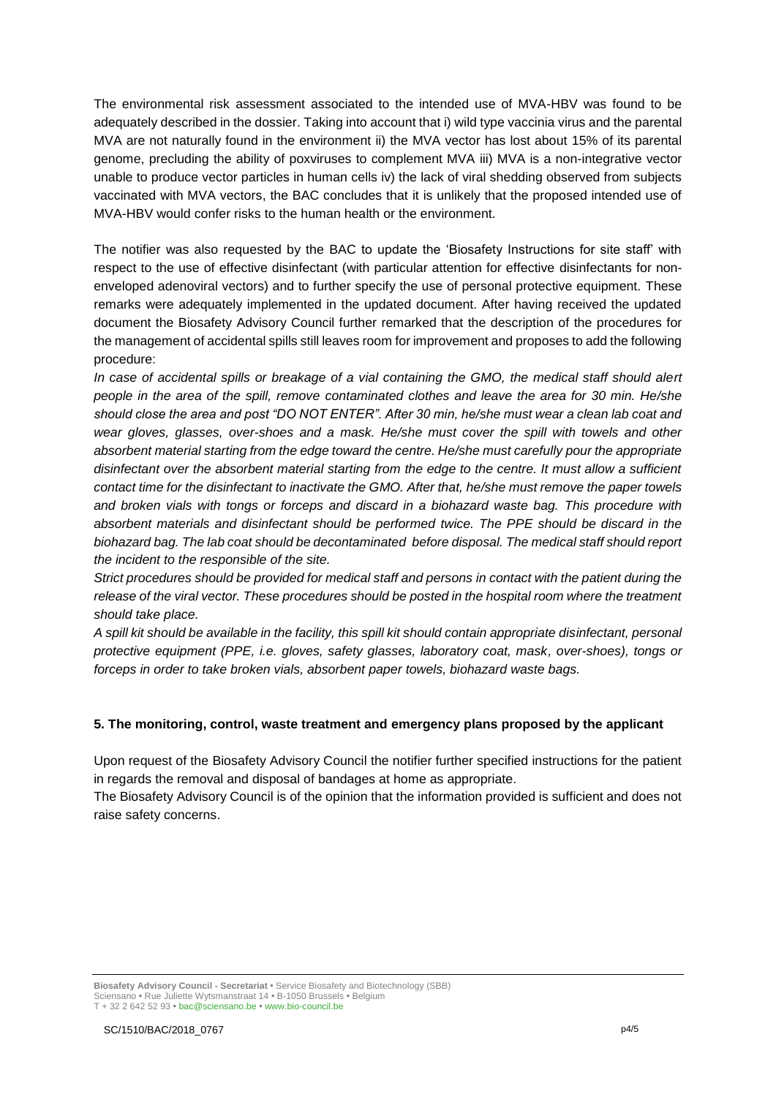The environmental risk assessment associated to the intended use of MVA-HBV was found to be adequately described in the dossier. Taking into account that i) wild type vaccinia virus and the parental MVA are not naturally found in the environment ii) the MVA vector has lost about 15% of its parental genome, precluding the ability of poxviruses to complement MVA iii) MVA is a non-integrative vector unable to produce vector particles in human cells iv) the lack of viral shedding observed from subjects vaccinated with MVA vectors, the BAC concludes that it is unlikely that the proposed intended use of MVA-HBV would confer risks to the human health or the environment.

The notifier was also requested by the BAC to update the 'Biosafety Instructions for site staff' with respect to the use of effective disinfectant (with particular attention for effective disinfectants for nonenveloped adenoviral vectors) and to further specify the use of personal protective equipment. These remarks were adequately implemented in the updated document. After having received the updated document the Biosafety Advisory Council further remarked that the description of the procedures for the management of accidental spills still leaves room for improvement and proposes to add the following procedure:

*In case of accidental spills or breakage of a vial containing the GMO, the medical staff should alert people in the area of the spill, remove contaminated clothes and leave the area for 30 min. He/she should close the area and post "DO NOT ENTER". After 30 min, he/she must wear a clean lab coat and wear gloves, glasses, over-shoes and a mask. He/she must cover the spill with towels and other absorbent material starting from the edge toward the centre. He/she must carefully pour the appropriate disinfectant over the absorbent material starting from the edge to the centre. It must allow a sufficient contact time for the disinfectant to inactivate the GMO. After that, he/she must remove the paper towels and broken vials with tongs or forceps and discard in a biohazard waste bag. This procedure with absorbent materials and disinfectant should be performed twice. The PPE should be discard in the biohazard bag. The lab coat should be decontaminated before disposal. The medical staff should report the incident to the responsible of the site.*

*Strict procedures should be provided for medical staff and persons in contact with the patient during the release of the viral vector. These procedures should be posted in the hospital room where the treatment should take place.*

*A spill kit should be available in the facility, this spill kit should contain appropriate disinfectant, personal protective equipment (PPE, i.e. gloves, safety glasses, laboratory coat, mask, over-shoes), tongs or forceps in order to take broken vials, absorbent paper towels, biohazard waste bags.*

### **5. The monitoring, control, waste treatment and emergency plans proposed by the applicant**

Upon request of the Biosafety Advisory Council the notifier further specified instructions for the patient in regards the removal and disposal of bandages at home as appropriate.

The Biosafety Advisory Council is of the opinion that the information provided is sufficient and does not raise safety concerns.

**Biosafety Advisory Council - Secretariat •** Service Biosafety and Biotechnology (SBB) Sciensano **•** Rue Juliette Wytsmanstraat 14 **•** B-1050 Brussels **•** Belgium T + 32 2 642 52 93 **•** bac@sciensano.be **•** www.bio-council.be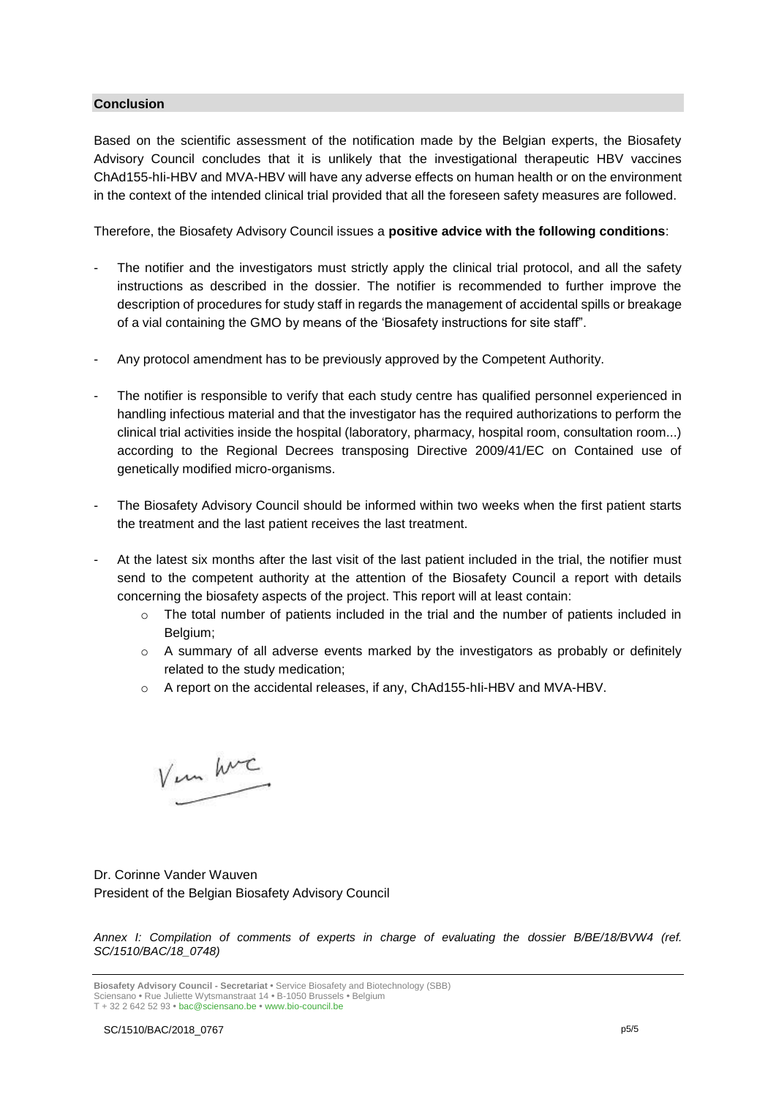### **Conclusion**

Based on the scientific assessment of the notification made by the Belgian experts, the Biosafety Advisory Council concludes that it is unlikely that the investigational therapeutic HBV vaccines ChAd155-hIi-HBV and MVA-HBV will have any adverse effects on human health or on the environment in the context of the intended clinical trial provided that all the foreseen safety measures are followed.

Therefore, the Biosafety Advisory Council issues a **positive advice with the following conditions**:

- The notifier and the investigators must strictly apply the clinical trial protocol, and all the safety instructions as described in the dossier. The notifier is recommended to further improve the description of procedures for study staff in regards the management of accidental spills or breakage of a vial containing the GMO by means of the 'Biosafety instructions for site staff".
- Any protocol amendment has to be previously approved by the Competent Authority.
- The notifier is responsible to verify that each study centre has qualified personnel experienced in handling infectious material and that the investigator has the required authorizations to perform the clinical trial activities inside the hospital (laboratory, pharmacy, hospital room, consultation room...) according to the Regional Decrees transposing Directive 2009/41/EC on Contained use of genetically modified micro-organisms.
- The Biosafety Advisory Council should be informed within two weeks when the first patient starts the treatment and the last patient receives the last treatment.
- At the latest six months after the last visit of the last patient included in the trial, the notifier must send to the competent authority at the attention of the Biosafety Council a report with details concerning the biosafety aspects of the project. This report will at least contain:
	- $\circ$  The total number of patients included in the trial and the number of patients included in Belgium;
	- $\circ$  A summary of all adverse events marked by the investigators as probably or definitely related to the study medication;
	- o A report on the accidental releases, if any, ChAd155-hIi-HBV and MVA-HBV.

Vin hur

Dr. Corinne Vander Wauven President of the Belgian Biosafety Advisory Council

*Annex I: Compilation of comments of experts in charge of evaluating the dossier B/BE/18/BVW4 (ref. SC/1510/BAC/18\_0748)*

**Biosafety Advisory Council - Secretariat •** Service Biosafety and Biotechnology (SBB) Sciensano **•** Rue Juliette Wytsmanstraat 14 **•** B-1050 Brussels **•** Belgium T + 32 2 642 52 93 **•** bac@sciensano.be **•** www.bio-council.be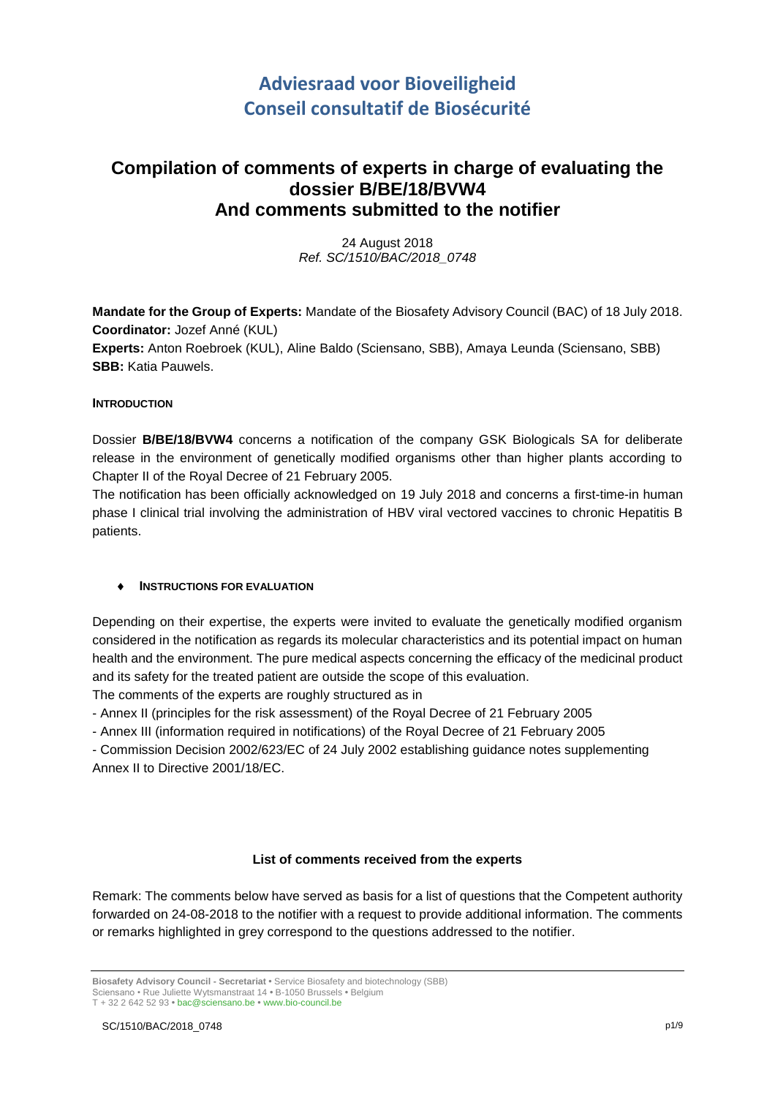# **Adviesraad voor Bioveiligheid Conseil consultatif de Biosécurité**

# **Compilation of comments of experts in charge of evaluating the dossier B/BE/18/BVW4 And comments submitted to the notifier**

24 August 2018 *Ref. SC/1510/BAC/2018\_0748*

**Mandate for the Group of Experts:** Mandate of the Biosafety Advisory Council (BAC) of 18 July 2018. **Coordinator:** Jozef Anné (KUL) **Experts:** Anton Roebroek (KUL), Aline Baldo (Sciensano, SBB), Amaya Leunda (Sciensano, SBB) **SBB:** Katia Pauwels.

### **INTRODUCTION**

Dossier **B/BE/18/BVW4** concerns a notification of the company GSK Biologicals SA for deliberate release in the environment of genetically modified organisms other than higher plants according to Chapter II of the Royal Decree of 21 February 2005.

The notification has been officially acknowledged on 19 July 2018 and concerns a first-time-in human phase I clinical trial involving the administration of HBV viral vectored vaccines to chronic Hepatitis B patients.

### **INSTRUCTIONS FOR EVALUATION**

Depending on their expertise, the experts were invited to evaluate the genetically modified organism considered in the notification as regards its molecular characteristics and its potential impact on human health and the environment. The pure medical aspects concerning the efficacy of the medicinal product and its safety for the treated patient are outside the scope of this evaluation.

The comments of the experts are roughly structured as in

- Annex II (principles for the risk assessment) of the Royal Decree of 21 February 2005

- Annex III (information required in notifications) of the Royal Decree of 21 February 2005

- Commission Decision 2002/623/EC of 24 July 2002 establishing guidance notes supplementing Annex II to Directive 2001/18/EC.

### **List of comments received from the experts**

Remark: The comments below have served as basis for a list of questions that the Competent authority forwarded on 24-08-2018 to the notifier with a request to provide additional information. The comments or remarks highlighted in grey correspond to the questions addressed to the notifier.

**Biosafety Advisory Council - Secretariat •** Service Biosafety and biotechnology (SBB) Sciensano • Rue Juliette Wytsmanstraat 14 **•** B-1050 Brussels **•** Belgium T + 32 2 642 52 93 **•** bac@sciensano.be **•** www.bio-council.be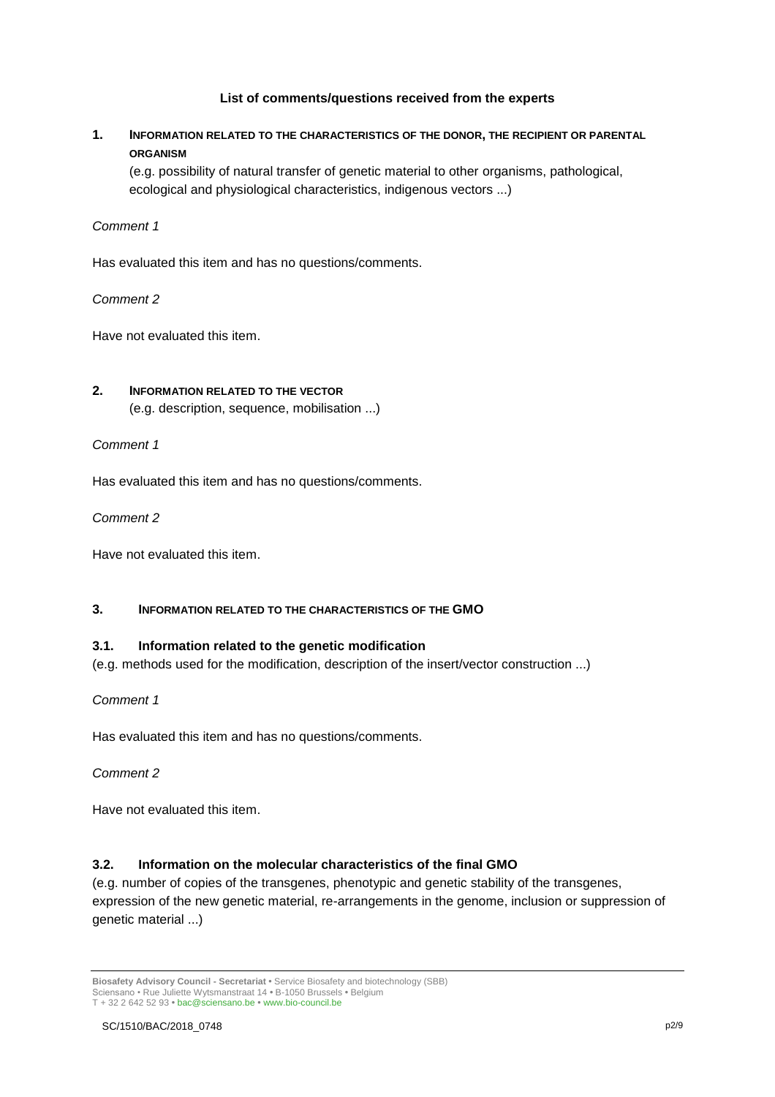### **List of comments/questions received from the experts**

# **1. INFORMATION RELATED TO THE CHARACTERISTICS OF THE DONOR, THE RECIPIENT OR PARENTAL ORGANISM**

(e.g. possibility of natural transfer of genetic material to other organisms, pathological, ecological and physiological characteristics, indigenous vectors ...)

### *Comment 1*

Has evaluated this item and has no questions/comments.

# *Comment 2*

Have not evaluated this item.

# **2. INFORMATION RELATED TO THE VECTOR** (e.g. description, sequence, mobilisation ...)

*Comment 1*

Has evaluated this item and has no questions/comments.

### *Comment 2*

Have not evaluated this item.

### **3. INFORMATION RELATED TO THE CHARACTERISTICS OF THE GMO**

### **3.1. Information related to the genetic modification**

(e.g. methods used for the modification, description of the insert/vector construction ...)

### *Comment 1*

Has evaluated this item and has no questions/comments.

### *Comment 2*

Have not evaluated this item.

### **3.2. Information on the molecular characteristics of the final GMO**

(e.g. number of copies of the transgenes, phenotypic and genetic stability of the transgenes, expression of the new genetic material, re-arrangements in the genome, inclusion or suppression of genetic material ...)

**Biosafety Advisory Council - Secretariat •** Service Biosafety and biotechnology (SBB) Sciensano • Rue Juliette Wytsmanstraat 14 **•** B-1050 Brussels **•** Belgium T + 32 2 642 52 93 **•** bac@sciensano.be **•** www.bio-council.be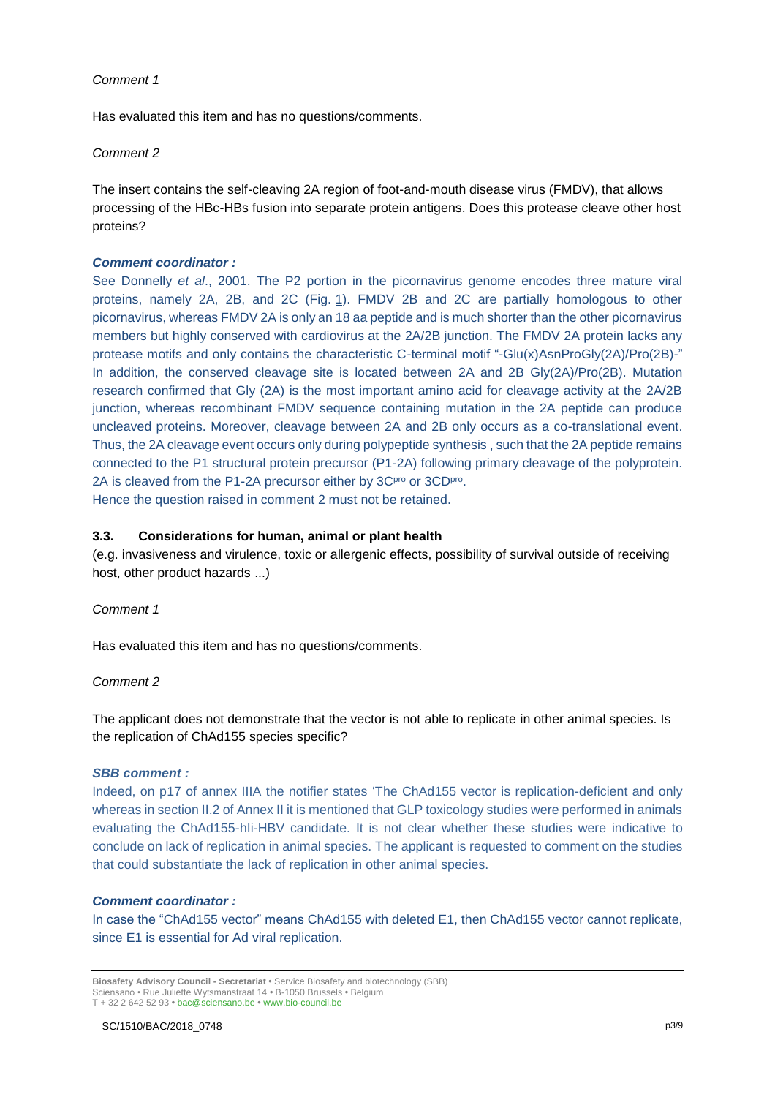### *Comment 1*

Has evaluated this item and has no questions/comments.

### *Comment 2*

The insert contains the self-cleaving 2A region of foot-and-mouth disease virus (FMDV), that allows processing of the HBc-HBs fusion into separate protein antigens. Does this protease cleave other host proteins?

### *Comment coordinator :*

See Donnelly *et al*., 2001. The P2 portion in the picornavirus genome encodes three mature viral proteins, namely 2A, 2B, and 2C (Fig. [1\)](https://virologyj.biomedcentral.com/articles/10.1186/s12985-016-0561-z#Fig1). FMDV 2B and 2C are partially homologous to other picornavirus, whereas FMDV 2A is only an 18 aa peptide and is much shorter than the other picornavirus members but highly conserved with cardiovirus at the 2A/2B junction. The FMDV 2A protein lacks any protease motifs and only contains the characteristic C-terminal motif "-Glu(x)AsnProGly(2A)/Pro(2B)-" In addition, the conserved cleavage site is located between 2A and 2B Gly(2A)/Pro(2B). Mutation research confirmed that Gly (2A) is the most important amino acid for cleavage activity at the 2A/2B junction, whereas recombinant FMDV sequence containing mutation in the 2A peptide can produce uncleaved proteins. Moreover, cleavage between 2A and 2B only occurs as a co-translational event. Thus, the 2A cleavage event occurs only during polypeptide synthesis , such that the 2A peptide remains connected to the P1 structural protein precursor (P1-2A) following primary cleavage of the polyprotein. 2A is cleaved from the P1-2A precursor either by 3C<sup>pro</sup> or 3CD<sup>pro</sup>. Hence the question raised in comment 2 must not be retained.

### **3.3. Considerations for human, animal or plant health**

(e.g. invasiveness and virulence, toxic or allergenic effects, possibility of survival outside of receiving host, other product hazards ...)

### *Comment 1*

Has evaluated this item and has no questions/comments.

### *Comment 2*

The applicant does not demonstrate that the vector is not able to replicate in other animal species. Is the replication of ChAd155 species specific?

### *SBB comment :*

Indeed, on p17 of annex IIIA the notifier states 'The ChAd155 vector is replication-deficient and only whereas in section II.2 of Annex II it is mentioned that GLP toxicology studies were performed in animals evaluating the ChAd155-hIi-HBV candidate. It is not clear whether these studies were indicative to conclude on lack of replication in animal species. The applicant is requested to comment on the studies that could substantiate the lack of replication in other animal species.

### *Comment coordinator :*

In case the "ChAd155 vector" means ChAd155 with deleted E1, then ChAd155 vector cannot replicate, since E1 is essential for Ad viral replication.

**Biosafety Advisory Council - Secretariat •** Service Biosafety and biotechnology (SBB) Sciensano • Rue Juliette Wytsmanstraat 14 **•** B-1050 Brussels **•** Belgium T + 32 2 642 52 93 **•** bac@sciensano.be **•** www.bio-council.be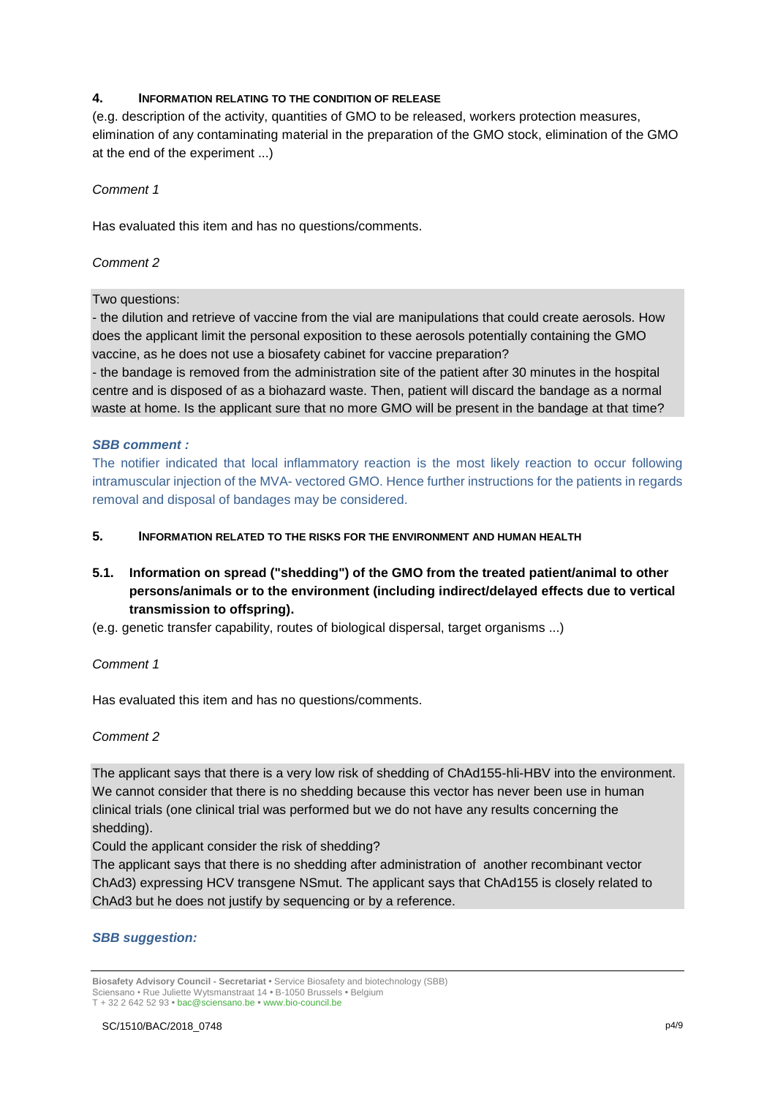### **4. INFORMATION RELATING TO THE CONDITION OF RELEASE**

(e.g. description of the activity, quantities of GMO to be released, workers protection measures, elimination of any contaminating material in the preparation of the GMO stock, elimination of the GMO at the end of the experiment ...)

### *Comment 1*

Has evaluated this item and has no questions/comments.

### *Comment 2*

### Two questions:

- the dilution and retrieve of vaccine from the vial are manipulations that could create aerosols. How does the applicant limit the personal exposition to these aerosols potentially containing the GMO vaccine, as he does not use a biosafety cabinet for vaccine preparation?

- the bandage is removed from the administration site of the patient after 30 minutes in the hospital centre and is disposed of as a biohazard waste. Then, patient will discard the bandage as a normal waste at home. Is the applicant sure that no more GMO will be present in the bandage at that time?

### *SBB comment :*

The notifier indicated that local inflammatory reaction is the most likely reaction to occur following intramuscular injection of the MVA- vectored GMO. Hence further instructions for the patients in regards removal and disposal of bandages may be considered.

### **5. INFORMATION RELATED TO THE RISKS FOR THE ENVIRONMENT AND HUMAN HEALTH**

# **5.1. Information on spread ("shedding") of the GMO from the treated patient/animal to other persons/animals or to the environment (including indirect/delayed effects due to vertical transmission to offspring).**

(e.g. genetic transfer capability, routes of biological dispersal, target organisms ...)

### *Comment 1*

Has evaluated this item and has no questions/comments.

### *Comment 2*

The applicant says that there is a very low risk of shedding of ChAd155-hli-HBV into the environment. We cannot consider that there is no shedding because this vector has never been use in human clinical trials (one clinical trial was performed but we do not have any results concerning the shedding).

Could the applicant consider the risk of shedding?

The applicant says that there is no shedding after administration of another recombinant vector ChAd3) expressing HCV transgene NSmut. The applicant says that ChAd155 is closely related to ChAd3 but he does not justify by sequencing or by a reference.

### *SBB suggestion:*

**Biosafety Advisory Council - Secretariat •** Service Biosafety and biotechnology (SBB) Sciensano • Rue Juliette Wytsmanstraat 14 **•** B-1050 Brussels **•** Belgium T + 32 2 642 52 93 **•** bac@sciensano.be **•** www.bio-council.be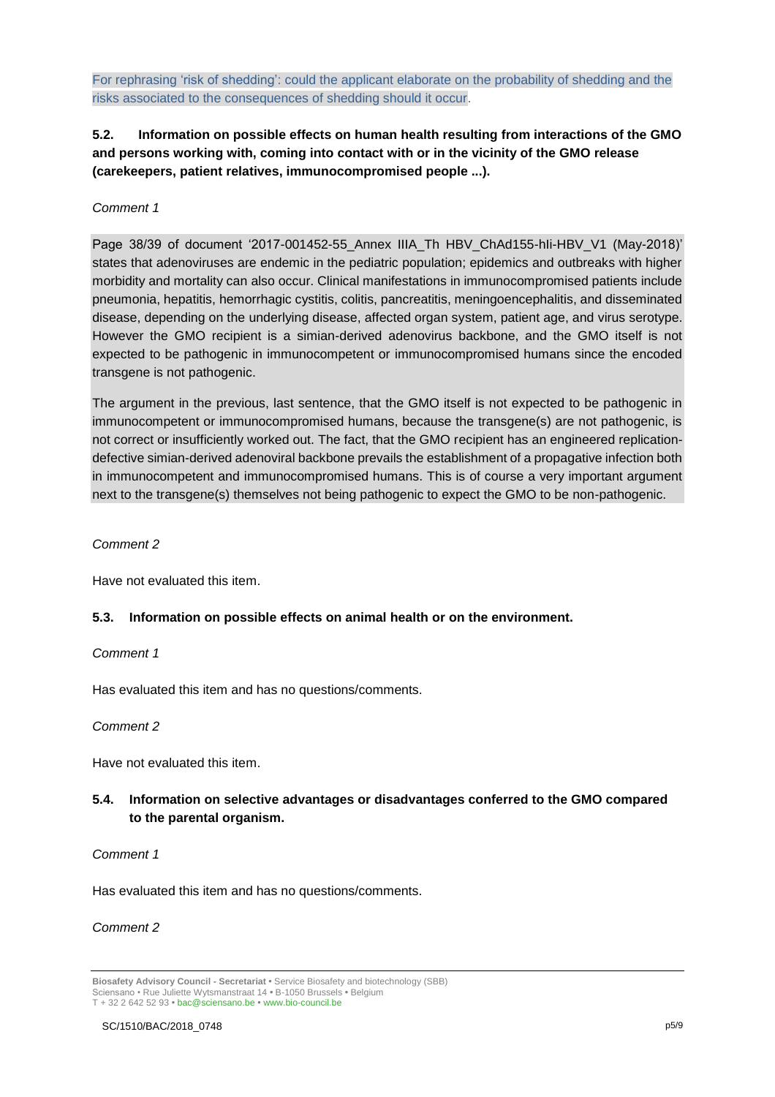For rephrasing 'risk of shedding': could the applicant elaborate on the probability of shedding and the risks associated to the consequences of shedding should it occur.

# **5.2. Information on possible effects on human health resulting from interactions of the GMO and persons working with, coming into contact with or in the vicinity of the GMO release (carekeepers, patient relatives, immunocompromised people ...).**

### *Comment 1*

Page 38/39 of document '2017-001452-55 Annex IIIA Th HBV ChAd155-hIi-HBV V1 (May-2018)' states that adenoviruses are endemic in the pediatric population; epidemics and outbreaks with higher morbidity and mortality can also occur. Clinical manifestations in immunocompromised patients include pneumonia, hepatitis, hemorrhagic cystitis, colitis, pancreatitis, meningoencephalitis, and disseminated disease, depending on the underlying disease, affected organ system, patient age, and virus serotype. However the GMO recipient is a simian-derived adenovirus backbone, and the GMO itself is not expected to be pathogenic in immunocompetent or immunocompromised humans since the encoded transgene is not pathogenic.

The argument in the previous, last sentence, that the GMO itself is not expected to be pathogenic in immunocompetent or immunocompromised humans, because the transgene(s) are not pathogenic, is not correct or insufficiently worked out. The fact, that the GMO recipient has an engineered replicationdefective simian-derived adenoviral backbone prevails the establishment of a propagative infection both in immunocompetent and immunocompromised humans. This is of course a very important argument next to the transgene(s) themselves not being pathogenic to expect the GMO to be non-pathogenic.

### *Comment 2*

Have not evaluated this item.

### **5.3. Information on possible effects on animal health or on the environment.**

### *Comment 1*

Has evaluated this item and has no questions/comments.

### *Comment 2*

Have not evaluated this item.

# **5.4. Information on selective advantages or disadvantages conferred to the GMO compared to the parental organism.**

### *Comment 1*

Has evaluated this item and has no questions/comments.

### *Comment 2*

**Biosafety Advisory Council - Secretariat •** Service Biosafety and biotechnology (SBB) Sciensano • Rue Juliette Wytsmanstraat 14 **•** B-1050 Brussels **•** Belgium T + 32 2 642 52 93 **•** bac@sciensano.be **•** www.bio-council.be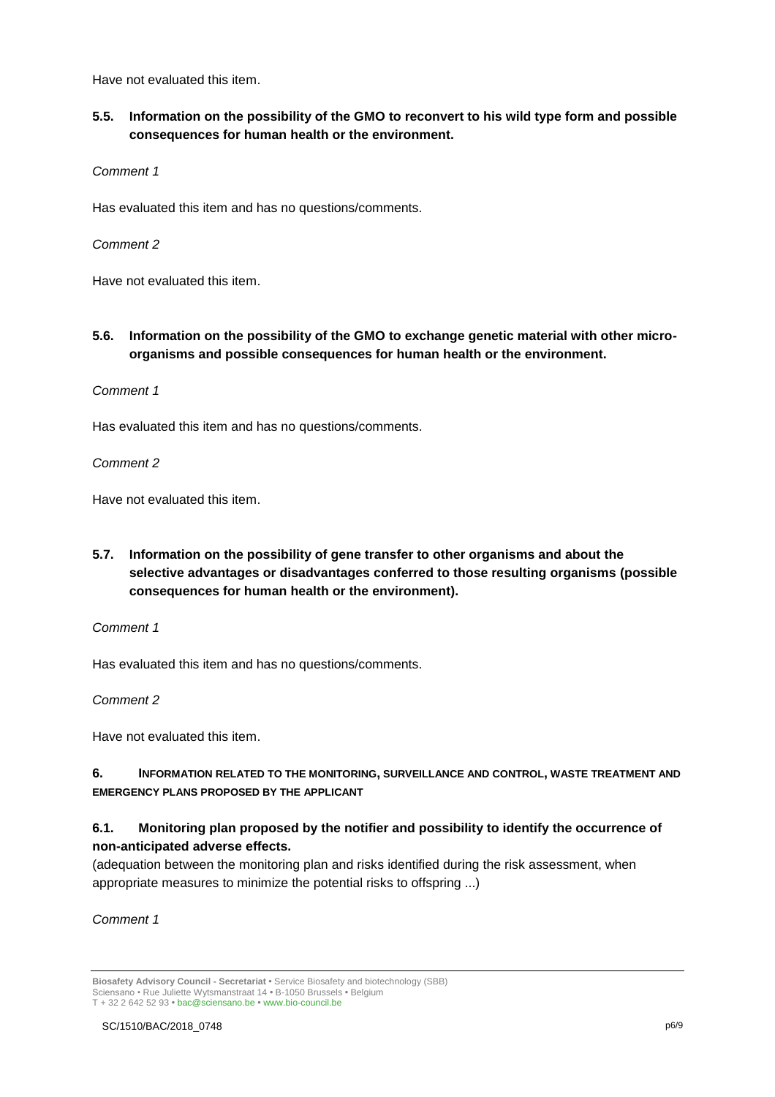Have not evaluated this item.

# **5.5. Information on the possibility of the GMO to reconvert to his wild type form and possible consequences for human health or the environment.**

*Comment 1*

Has evaluated this item and has no questions/comments.

*Comment 2* 

Have not evaluated this item.

**5.6. Information on the possibility of the GMO to exchange genetic material with other microorganisms and possible consequences for human health or the environment.**

*Comment 1*

Has evaluated this item and has no questions/comments.

*Comment 2* 

Have not evaluated this item.

**5.7. Information on the possibility of gene transfer to other organisms and about the selective advantages or disadvantages conferred to those resulting organisms (possible consequences for human health or the environment).**

*Comment 1*

Has evaluated this item and has no questions/comments.

*Comment 2*

Have not evaluated this item.

**6. INFORMATION RELATED TO THE MONITORING, SURVEILLANCE AND CONTROL, WASTE TREATMENT AND EMERGENCY PLANS PROPOSED BY THE APPLICANT**

# **6.1. Monitoring plan proposed by the notifier and possibility to identify the occurrence of non-anticipated adverse effects.**

(adequation between the monitoring plan and risks identified during the risk assessment, when appropriate measures to minimize the potential risks to offspring ...)

*Comment 1*

**Biosafety Advisory Council - Secretariat •** Service Biosafety and biotechnology (SBB) Sciensano • Rue Juliette Wytsmanstraat 14 **•** B-1050 Brussels **•** Belgium T + 32 2 642 52 93 **•** bac@sciensano.be **•** www.bio-council.be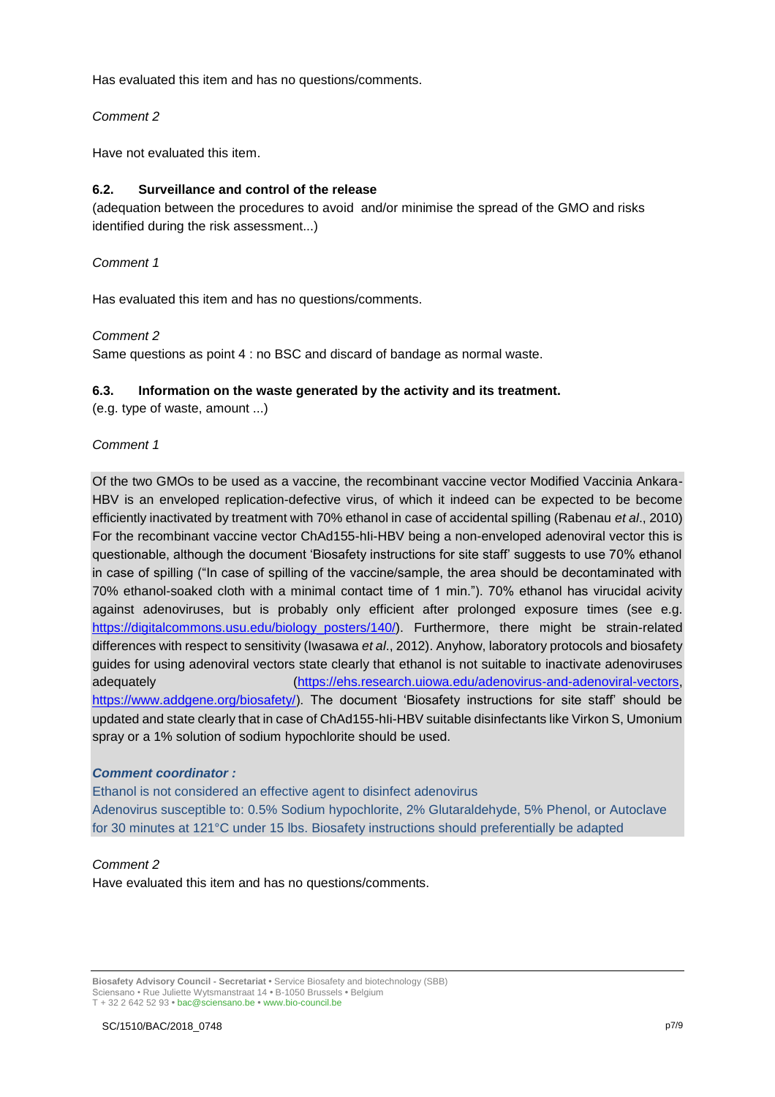Has evaluated this item and has no questions/comments.

### *Comment 2*

Have not evaluated this item.

### **6.2. Surveillance and control of the release**

(adequation between the procedures to avoid and/or minimise the spread of the GMO and risks identified during the risk assessment...)

### *Comment 1*

Has evaluated this item and has no questions/comments.

### *Comment 2*

Same questions as point 4 : no BSC and discard of bandage as normal waste.

### **6.3. Information on the waste generated by the activity and its treatment.**

(e.g. type of waste, amount ...)

### *Comment 1*

Of the two GMOs to be used as a vaccine, the recombinant vaccine vector Modified Vaccinia Ankara-HBV is an enveloped replication-defective virus, of which it indeed can be expected to be become efficiently inactivated by treatment with 70% ethanol in case of accidental spilling (Rabenau *et al*., 2010) For the recombinant vaccine vector ChAd155-hIi-HBV being a non-enveloped adenoviral vector this is questionable, although the document 'Biosafety instructions for site staff' suggests to use 70% ethanol in case of spilling ("In case of spilling of the vaccine/sample, the area should be decontaminated with 70% ethanol-soaked cloth with a minimal contact time of 1 min."). 70% ethanol has virucidal acivity against adenoviruses, but is probably only efficient after prolonged exposure times (see e.g. [https://digitalcommons.usu.edu/biology\\_posters/140/\)](https://digitalcommons.usu.edu/biology_posters/140/). Furthermore, there might be strain-related differences with respect to sensitivity (Iwasawa *et al*., 2012). Anyhow, laboratory protocols and biosafety guides for using adenoviral vectors state clearly that ethanol is not suitable to inactivate adenoviruses adequately [\(https://ehs.research.uiowa.edu/adenovirus-and-adenoviral-vectors,](https://ehs.research.uiowa.edu/adenovirus-and-adenoviral-vectors) [https://www.addgene.org/biosafety/\)](https://www.addgene.org/biosafety/). The document 'Biosafety instructions for site staff' should be updated and state clearly that in case of ChAd155-hIi-HBV suitable disinfectants like Virkon S, Umonium spray or a 1% solution of sodium hypochlorite should be used.

### *Comment coordinator :*

Ethanol is not considered an effective agent to disinfect adenovirus Adenovirus susceptible to: 0.5% Sodium hypochlorite, 2% Glutaraldehyde, 5% Phenol, or Autoclave for 30 minutes at 121°C under 15 lbs. Biosafety instructions should preferentially be adapted

### *Comment 2*

Have evaluated this item and has no questions/comments.

**Biosafety Advisory Council - Secretariat •** Service Biosafety and biotechnology (SBB) Sciensano • Rue Juliette Wytsmanstraat 14 **•** B-1050 Brussels **•** Belgium T + 32 2 642 52 93 **•** bac@sciensano.be **•** www.bio-council.be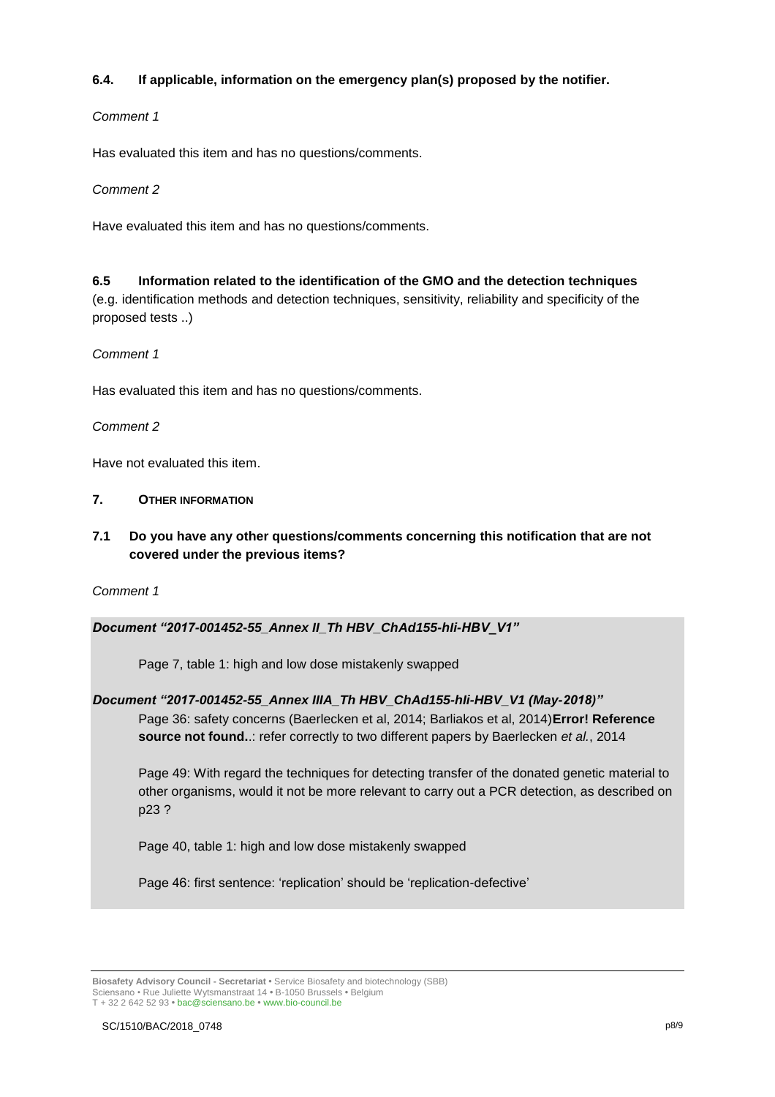# **6.4. If applicable, information on the emergency plan(s) proposed by the notifier.**

### *Comment 1*

Has evaluated this item and has no questions/comments.

### *Comment 2*

Have evaluated this item and has no questions/comments.

# **6.5 Information related to the identification of the GMO and the detection techniques**

(e.g. identification methods and detection techniques, sensitivity, reliability and specificity of the proposed tests ..)

# *Comment 1*

Has evaluated this item and has no questions/comments.

# *Comment 2*

Have not evaluated this item.

# **7. OTHER INFORMATION**

**7.1 Do you have any other questions/comments concerning this notification that are not covered under the previous items?** 

*Comment 1*

# *Document "2017-001452-55\_Annex II\_Th HBV\_ChAd155-hIi-HBV\_V1"*

Page 7, table 1: high and low dose mistakenly swapped

# *Document "2017-001452-55\_Annex IIIA\_Th HBV\_ChAd155-hIi-HBV\_V1 (May-2018)"* Page 36: safety concerns (Baerlecken et al, 2014; Barliakos et al, 2014)**Error! Reference**

**source not found.**.: refer correctly to two different papers by Baerlecken *et al.*, 2014

Page 49: With regard the techniques for detecting transfer of the donated genetic material to other organisms, would it not be more relevant to carry out a PCR detection, as described on p23 ?

Page 40, table 1: high and low dose mistakenly swapped

Page 46: first sentence: 'replication' should be 'replication-defective'

**Biosafety Advisory Council - Secretariat •** Service Biosafety and biotechnology (SBB) Sciensano • Rue Juliette Wytsmanstraat 14 **•** B-1050 Brussels **•** Belgium T + 32 2 642 52 93 **•** bac@sciensano.be **•** www.bio-council.be